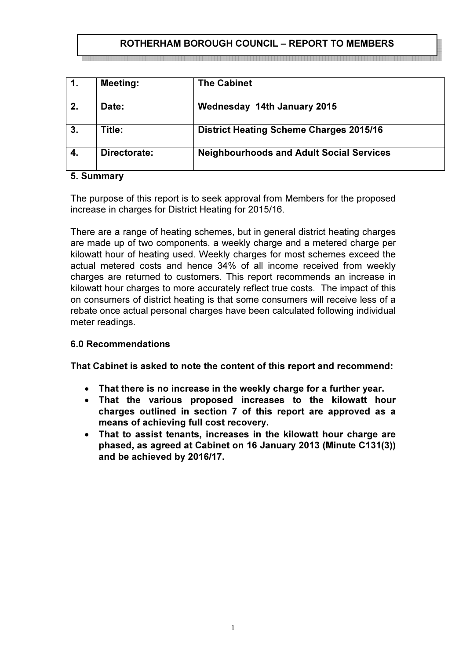# ROTHERHAM BOROUGH COUNCIL – REPORT TO MEMBERS

| 1. | <b>Meeting:</b> | <b>The Cabinet</b>                              |
|----|-----------------|-------------------------------------------------|
| 2. | Date:           | <b>Wednesday 14th January 2015</b>              |
| 3. | Title:          | <b>District Heating Scheme Charges 2015/16</b>  |
| 4. | Directorate:    | <b>Neighbourhoods and Adult Social Services</b> |

## 5. Summary

The purpose of this report is to seek approval from Members for the proposed increase in charges for District Heating for 2015/16.

There are a range of heating schemes, but in general district heating charges are made up of two components, a weekly charge and a metered charge per kilowatt hour of heating used. Weekly charges for most schemes exceed the actual metered costs and hence 34% of all income received from weekly charges are returned to customers. This report recommends an increase in kilowatt hour charges to more accurately reflect true costs. The impact of this on consumers of district heating is that some consumers will receive less of a rebate once actual personal charges have been calculated following individual meter readings.

## 6.0 Recommendations

That Cabinet is asked to note the content of this report and recommend:

- That there is no increase in the weekly charge for a further year.
- That the various proposed increases to the kilowatt hour charges outlined in section 7 of this report are approved as a means of achieving full cost recovery.
- That to assist tenants, increases in the kilowatt hour charge are phased, as agreed at Cabinet on 16 January 2013 (Minute C131(3)) and be achieved by 2016/17.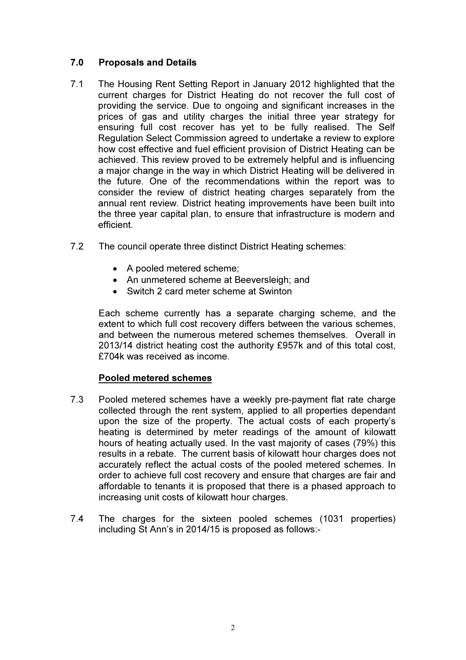## 7.0 Proposals and Details

- 7.1 The Housing Rent Setting Report in January 2012 highlighted that the current charges for District Heating do not recover the full cost of providing the service. Due to ongoing and significant increases in the prices of gas and utility charges the initial three year strategy for ensuring full cost recover has yet to be fully realised. The Self Regulation Select Commission agreed to undertake a review to explore how cost effective and fuel efficient provision of District Heating can be achieved. This review proved to be extremely helpful and is influencing a major change in the way in which District Heating will be delivered in the future. One of the recommendations within the report was to consider the review of district heating charges separately from the annual rent review. District heating improvements have been built into the three year capital plan, to ensure that infrastructure is modern and efficient.
- 7.2 The council operate three distinct District Heating schemes:
	- A pooled metered scheme;
	- An unmetered scheme at Beeversleigh; and
	- Switch 2 card meter scheme at Swinton

Each scheme currently has a separate charging scheme, and the extent to which full cost recovery differs between the various schemes, and between the numerous metered schemes themselves. Overall in 2013/14 district heating cost the authority £957k and of this total cost, £704k was received as income.

## Pooled metered schemes

- 7.3 Pooled metered schemes have a weekly pre-payment flat rate charge collected through the rent system, applied to all properties dependant upon the size of the property. The actual costs of each property's heating is determined by meter readings of the amount of kilowatt hours of heating actually used. In the vast majority of cases (79%) this results in a rebate. The current basis of kilowatt hour charges does not accurately reflect the actual costs of the pooled metered schemes. In order to achieve full cost recovery and ensure that charges are fair and affordable to tenants it is proposed that there is a phased approach to increasing unit costs of kilowatt hour charges.
- 7.4 The charges for the sixteen pooled schemes (1031 properties) including St Ann's in 2014/15 is proposed as follows:-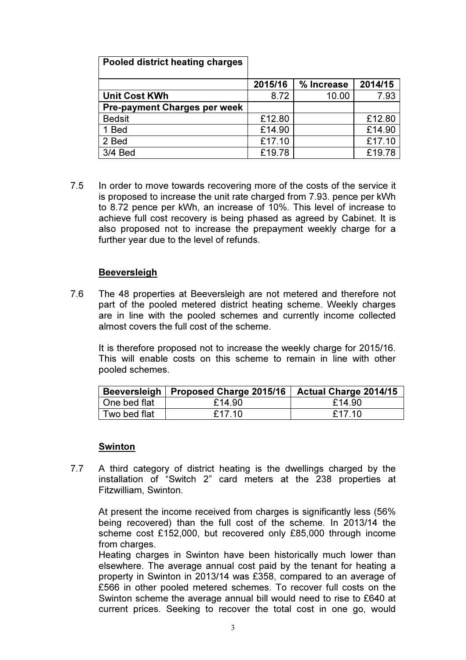| Pooled district heating charges     |         |            |         |
|-------------------------------------|---------|------------|---------|
|                                     | 2015/16 | % Increase | 2014/15 |
| <b>Unit Cost KWh</b>                | 8.72    | 10.00      | 7.93    |
| <b>Pre-payment Charges per week</b> |         |            |         |
| <b>Bedsit</b>                       | £12.80  |            | £12.80  |
| 1 Bed                               | £14.90  |            | £14.90  |
| 2 Bed                               | £17.10  |            | £17.10  |
| 3/4 Bed                             | £19.78  |            | £19.78  |

7.5 In order to move towards recovering more of the costs of the service it is proposed to increase the unit rate charged from 7.93. pence per kWh to 8.72 pence per kWh, an increase of 10%. This level of increase to achieve full cost recovery is being phased as agreed by Cabinet. It is also proposed not to increase the prepayment weekly charge for a further year due to the level of refunds.

## Beeversleigh

7.6 The 48 properties at Beeversleigh are not metered and therefore not part of the pooled metered district heating scheme. Weekly charges are in line with the pooled schemes and currently income collected almost covers the full cost of the scheme.

It is therefore proposed not to increase the weekly charge for 2015/16. This will enable costs on this scheme to remain in line with other pooled schemes.

|              | Beeversleigh   Proposed Charge 2015/16 | <b>Actual Charge 2014/15</b> |
|--------------|----------------------------------------|------------------------------|
| One bed flat | £14.90                                 | £14.90                       |
| Two bed flat | £17.10                                 | £17.10                       |

#### Swinton

7.7 A third category of district heating is the dwellings charged by the installation of "Switch 2" card meters at the 238 properties at Fitzwilliam, Swinton.

At present the income received from charges is significantly less (56%) being recovered) than the full cost of the scheme. In 2013/14 the scheme cost £152,000, but recovered only £85,000 through income from charges.

Heating charges in Swinton have been historically much lower than elsewhere. The average annual cost paid by the tenant for heating a property in Swinton in 2013/14 was £358, compared to an average of £566 in other pooled metered schemes. To recover full costs on the Swinton scheme the average annual bill would need to rise to £640 at current prices. Seeking to recover the total cost in one go, would